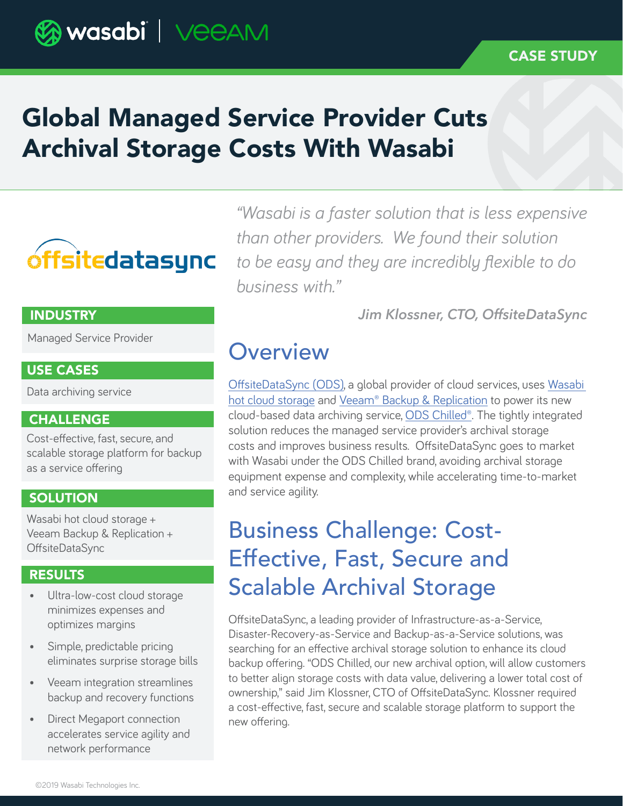### CASE STUDY

# Global Managed Service Provider Cuts Archival Storage Costs With Wasabi

# **óffsitedatasync**

#### **INDUSTRY**

Managed Service Provider

#### USE CASES

Data archiving service

### **CHALLENGE**

Cost-effective, fast, secure, and scalable storage platform for backup as a service offering

#### **SOLUTION**

Wasabi hot cloud storage + Veeam Backup & Replication + OffsiteDataSync

#### RESULTS

- Ultra-low-cost cloud storage minimizes expenses and optimizes margins
- Simple, predictable pricing eliminates surprise storage bills
- Veeam integration streamlines backup and recovery functions
- Direct Megaport connection accelerates service agility and network performance

*"Wasabi is a faster solution that is less expensive than other providers. We found their solution to be easy and they are incredibly flexible to do business with."* 

*Jim Klossner, CTO, OffsiteDataSync*

### **Overview**

[OffsiteDataSync \(ODS\),](https://www.offsitedatasync.com/) a global provider of cloud services, uses [Wasabi](https://wasabi.com/s3-compatible-cloud-storage/)  [hot cloud storage](https://wasabi.com/s3-compatible-cloud-storage/) and [Veeam® Backup & Replication](https://www.veeam.com/vm-backup-recovery-replication-software.html) to power its new cloud-based data archiving service, [ODS Chilled®.](https://www.offsitedatasync.com/coldbackupsform) The tightly integrated solution reduces the managed service provider's archival storage costs and improves business results. OffsiteDataSync goes to market with Wasabi under the ODS Chilled brand, avoiding archival storage equipment expense and complexity, while accelerating time-to-market and service agility.

### Business Challenge: Cost-Effective, Fast, Secure and Scalable Archival Storage

OffsiteDataSync, a leading provider of Infrastructure-as-a-Service, Disaster-Recovery-as-Service and Backup-as-a-Service solutions, was searching for an effective archival storage solution to enhance its cloud backup offering. "ODS Chilled, our new archival option, will allow customers to better align storage costs with data value, delivering a lower total cost of ownership," said Jim Klossner, CTO of OffsiteDataSync. Klossner required a cost-effective, fast, secure and scalable storage platform to support the new offering.